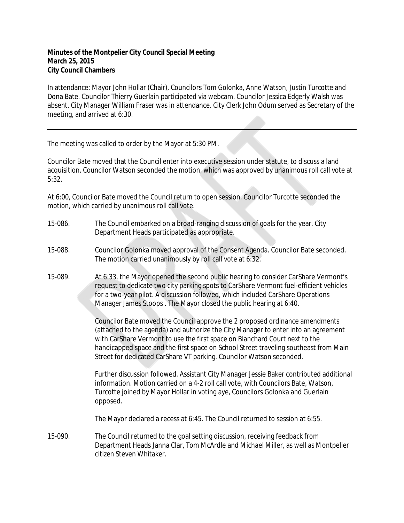## **Minutes of the Montpelier City Council Special Meeting March 25, 2015 City Council Chambers**

In attendance: Mayor John Hollar (Chair), Councilors Tom Golonka, Anne Watson, Justin Turcotte and Dona Bate. Councilor Thierry Guerlain participated via webcam. Councilor Jessica Edgerly Walsh was absent. City Manager William Fraser was in attendance. City Clerk John Odum served as Secretary of the meeting, and arrived at 6:30.

The meeting was called to order by the Mayor at 5:30 PM.

Councilor Bate moved that the Council enter into executive session under statute, to discuss a land acquisition. Councilor Watson seconded the motion, which was approved by unanimous roll call vote at 5:32.

At 6:00, Councilor Bate moved the Council return to open session. Councilor Turcotte seconded the motion, which carried by unanimous roll call vote.

- 15-086. The Council embarked on a broad-ranging discussion of goals for the year. City Department Heads participated as appropriate.
- 15-088. Councilor Golonka moved approval of the Consent Agenda. Councilor Bate seconded. The motion carried unanimously by roll call vote at 6:32.
- 15-089. At 6:33, the Mayor opened the second public hearing to consider CarShare Vermont's request to dedicate two city parking spots to CarShare Vermont fuel-efficient vehicles for a two-year pilot. A discussion followed, which included CarShare Operations Manager James Stoops . The Mayor closed the public hearing at 6:40.

Councilor Bate moved the Council approve the 2 proposed ordinance amendments (attached to the agenda) and authorize the City Manager to enter into an agreement with CarShare Vermont to use the first space on Blanchard Court next to the handicapped space and the first space on School Street traveling southeast from Main Street for dedicated CarShare VT parking. Councilor Watson seconded.

Further discussion followed. Assistant City Manager Jessie Baker contributed additional information. Motion carried on a 4-2 roll call vote, with Councilors Bate, Watson, Turcotte joined by Mayor Hollar in voting aye, Councilors Golonka and Guerlain opposed.

The Mayor declared a recess at 6:45. The Council returned to session at 6:55.

15-090. The Council returned to the goal setting discussion, receiving feedback from Department Heads Janna Clar, Tom McArdle and Michael Miller, as well as Montpelier citizen Steven Whitaker.